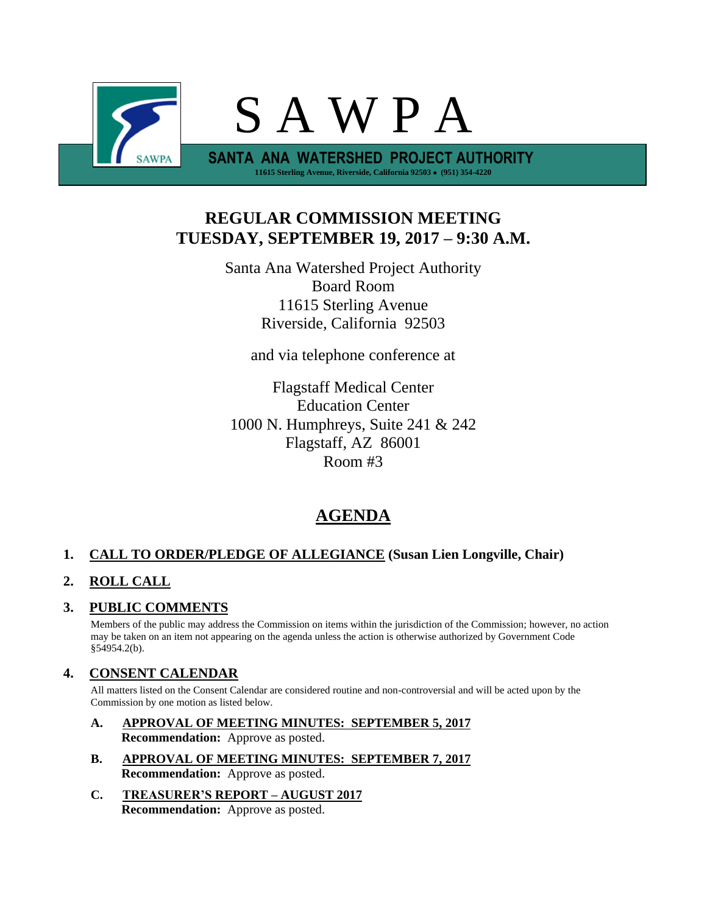

# **REGULAR COMMISSION MEETING TUESDAY, SEPTEMBER 19, 2017 – 9:30 A.M.**

Santa Ana Watershed Project Authority Board Room 11615 Sterling Avenue Riverside, California 92503

and via telephone conference at

Flagstaff Medical Center Education Center 1000 N. Humphreys, Suite 241 & 242 Flagstaff, AZ 86001 Room #3

# **AGENDA**

## **1. CALL TO ORDER/PLEDGE OF ALLEGIANCE (Susan Lien Longville, Chair)**

## **2. ROLL CALL**

## **3. PUBLIC COMMENTS**

Members of the public may address the Commission on items within the jurisdiction of the Commission; however, no action may be taken on an item not appearing on the agenda unless the action is otherwise authorized by Government Code §54954.2(b).

## **4. CONSENT CALENDAR**

All matters listed on the Consent Calendar are considered routine and non-controversial and will be acted upon by the Commission by one motion as listed below.

- **A. APPROVAL OF MEETING MINUTES: SEPTEMBER 5, 2017 Recommendation:** Approve as posted.
- **B. APPROVAL OF MEETING MINUTES: SEPTEMBER 7, 2017 Recommendation:** Approve as posted.
- **C. TREASURER'S REPORT – AUGUST 2017 Recommendation:** Approve as posted.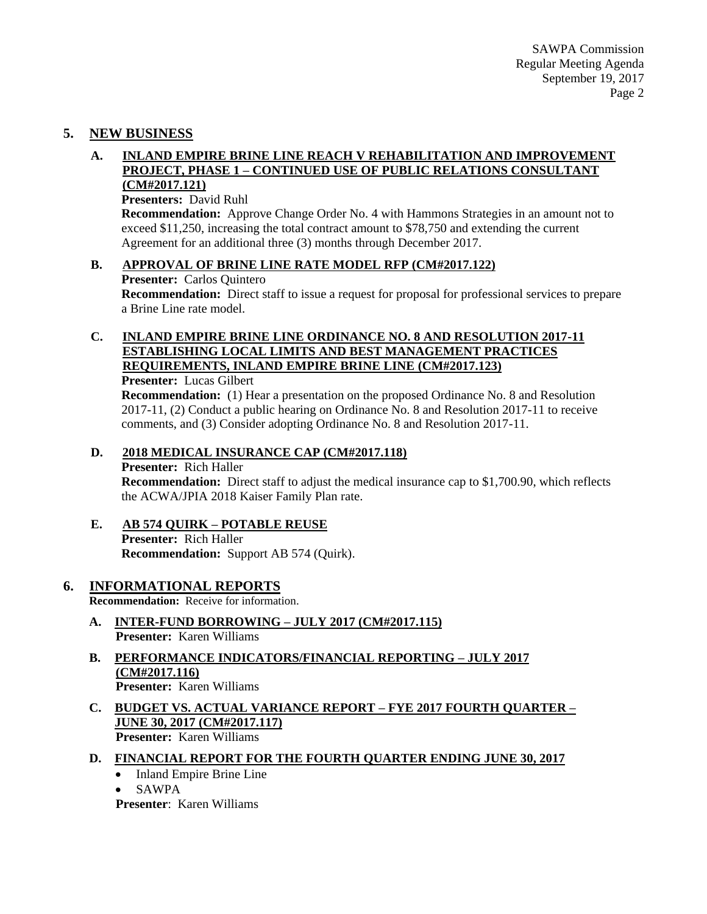## **5. NEW BUSINESS**

#### **A. INLAND EMPIRE BRINE LINE REACH V REHABILITATION AND IMPROVEMENT PROJECT, PHASE 1 – CONTINUED USE OF PUBLIC RELATIONS CONSULTANT (CM#2017.121)**

### **Presenters:** David Ruhl

**Recommendation:** Approve Change Order No. 4 with Hammons Strategies in an amount not to exceed \$11,250, increasing the total contract amount to \$78,750 and extending the current Agreement for an additional three (3) months through December 2017.

### **B. APPROVAL OF BRINE LINE RATE MODEL RFP (CM#2017.122)**

**Presenter:** Carlos Quintero

**Recommendation:** Direct staff to issue a request for proposal for professional services to prepare a Brine Line rate model.

## **C. INLAND EMPIRE BRINE LINE ORDINANCE NO. 8 AND RESOLUTION 2017-11 ESTABLISHING LOCAL LIMITS AND BEST MANAGEMENT PRACTICES REQUIREMENTS, INLAND EMPIRE BRINE LINE (CM#2017.123)**

**Presenter:** Lucas Gilbert

**Recommendation:** (1) Hear a presentation on the proposed Ordinance No. 8 and Resolution 2017-11, (2) Conduct a public hearing on Ordinance No. 8 and Resolution 2017-11 to receive comments, and (3) Consider adopting Ordinance No. 8 and Resolution 2017-11.

### **D. 2018 MEDICAL INSURANCE CAP (CM#2017.118)**

**Presenter:** Rich Haller

**Recommendation:** Direct staff to adjust the medical insurance cap to \$1,700.90, which reflects the ACWA/JPIA 2018 Kaiser Family Plan rate.

## **E. AB 574 QUIRK – POTABLE REUSE Presenter:** Rich Haller

**Recommendation:** Support AB 574 (Quirk).

## **6. INFORMATIONAL REPORTS**

**Recommendation:** Receive for information.

- **A. INTER-FUND BORROWING – JULY 2017 (CM#2017.115) Presenter:** Karen Williams
- **B. PERFORMANCE INDICATORS/FINANCIAL REPORTING – JULY 2017 (CM#2017.116) Presenter:** Karen Williams
- **C. BUDGET VS. ACTUAL VARIANCE REPORT – FYE 2017 FOURTH QUARTER – JUNE 30, 2017 (CM#2017.117) Presenter:** Karen Williams

### **D. FINANCIAL REPORT FOR THE FOURTH QUARTER ENDING JUNE 30, 2017**

- Inland Empire Brine Line
- SAWPA

**Presenter**: Karen Williams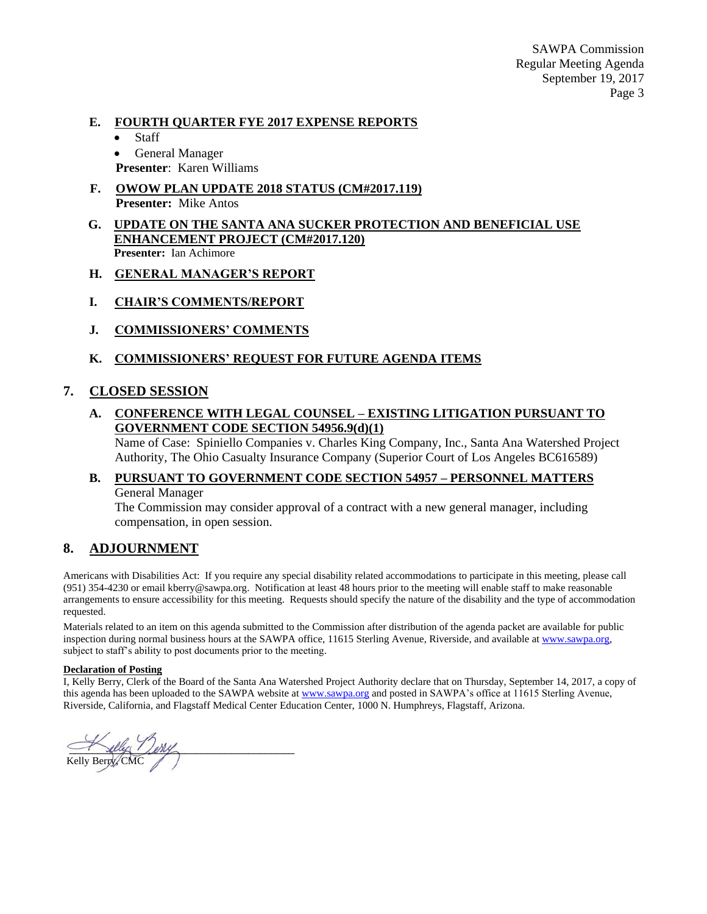SAWPA Commission Regular Meeting Agenda September 19, 2017 Page 3

#### **E. FOURTH QUARTER FYE 2017 EXPENSE REPORTS**

- Staff
- General Manager
- **Presenter**: Karen Williams
- **F. OWOW PLAN UPDATE 2018 STATUS (CM#2017.119) Presenter:** Mike Antos
- **G. UPDATE ON THE SANTA ANA SUCKER PROTECTION AND BENEFICIAL USE ENHANCEMENT PROJECT (CM#2017.120) Presenter:** Ian Achimore
- **H. GENERAL MANAGER'S REPORT**
- **I. CHAIR'S COMMENTS/REPORT**
- **J. COMMISSIONERS' COMMENTS**

### **K. COMMISSIONERS' REQUEST FOR FUTURE AGENDA ITEMS**

### **7. CLOSED SESSION**

**A. CONFERENCE WITH LEGAL COUNSEL – EXISTING LITIGATION PURSUANT TO GOVERNMENT CODE SECTION 54956.9(d)(1)**

Name of Case: Spiniello Companies v. Charles King Company, Inc., Santa Ana Watershed Project Authority, The Ohio Casualty Insurance Company (Superior Court of Los Angeles BC616589)

## **B. PURSUANT TO GOVERNMENT CODE SECTION 54957 – PERSONNEL MATTERS** General Manager

The Commission may consider approval of a contract with a new general manager, including compensation, in open session.

### **8. ADJOURNMENT**

Americans with Disabilities Act: If you require any special disability related accommodations to participate in this meeting, please call (951) 354-4230 or email kberry@sawpa.org. Notification at least 48 hours prior to the meeting will enable staff to make reasonable arrangements to ensure accessibility for this meeting. Requests should specify the nature of the disability and the type of accommodation requested.

Materials related to an item on this agenda submitted to the Commission after distribution of the agenda packet are available for public inspection during normal business hours at the SAWPA office, 11615 Sterling Avenue, Riverside, and available a[t www.sawpa.org,](http://www.sawpa.org/) subject to staff's ability to post documents prior to the meeting.

#### **Declaration of Posting**

I, Kelly Berry, Clerk of the Board of the Santa Ana Watershed Project Authority declare that on Thursday, September 14, 2017, a copy of this agenda has been uploaded to the SAWPA website a[t www.sawpa.org](http://www.sawpa.org/) and posted in SAWPA's office at 11615 Sterling Avenue, Riverside, California, and Flagstaff Medical Center Education Center, 1000 N. Humphreys, Flagstaff, Arizona.

 $\sim$  the light  $\sim$ Kelly Berry, CMC